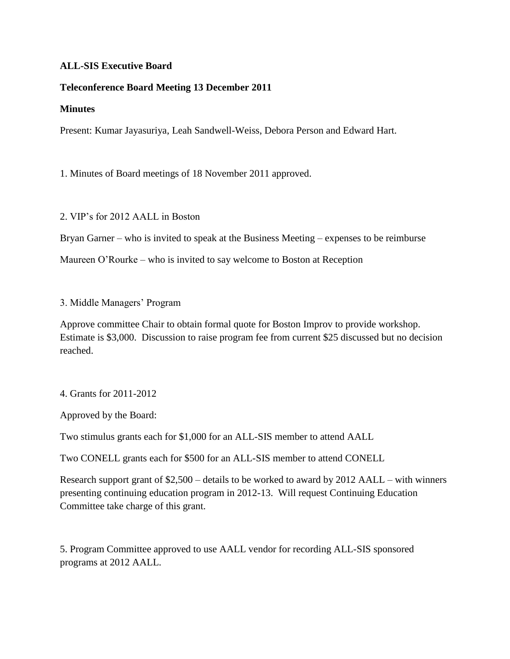## **ALL-SIS Executive Board**

## **Teleconference Board Meeting 13 December 2011**

## **Minutes**

Present: Kumar Jayasuriya, Leah Sandwell-Weiss, Debora Person and Edward Hart.

1. Minutes of Board meetings of 18 November 2011 approved.

2. VIP's for 2012 AALL in Boston

Bryan Garner – who is invited to speak at the Business Meeting – expenses to be reimburse

Maureen O'Rourke – who is invited to say welcome to Boston at Reception

## 3. Middle Managers' Program

Approve committee Chair to obtain formal quote for Boston Improv to provide workshop. Estimate is \$3,000. Discussion to raise program fee from current \$25 discussed but no decision reached.

4. Grants for 2011-2012

Approved by the Board:

Two stimulus grants each for \$1,000 for an ALL-SIS member to attend AALL

Two CONELL grants each for \$500 for an ALL-SIS member to attend CONELL

Research support grant of \$2,500 – details to be worked to award by 2012 AALL – with winners presenting continuing education program in 2012-13. Will request Continuing Education Committee take charge of this grant.

5. Program Committee approved to use AALL vendor for recording ALL-SIS sponsored programs at 2012 AALL.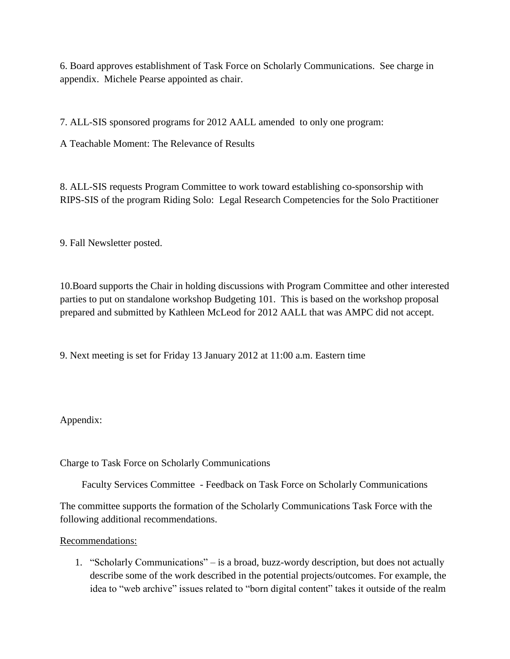6. Board approves establishment of Task Force on Scholarly Communications. See charge in appendix. Michele Pearse appointed as chair.

7. ALL-SIS sponsored programs for 2012 AALL amended to only one program:

A Teachable Moment: The Relevance of Results

8. ALL-SIS requests Program Committee to work toward establishing co-sponsorship with RIPS-SIS of the program Riding Solo: Legal Research Competencies for the Solo Practitioner

9. Fall Newsletter posted.

10.Board supports the Chair in holding discussions with Program Committee and other interested parties to put on standalone workshop Budgeting 101. This is based on the workshop proposal prepared and submitted by Kathleen McLeod for 2012 AALL that was AMPC did not accept.

9. Next meeting is set for Friday 13 January 2012 at 11:00 a.m. Eastern time

Appendix:

Charge to Task Force on Scholarly Communications

Faculty Services Committee - Feedback on Task Force on Scholarly Communications

The committee supports the formation of the Scholarly Communications Task Force with the following additional recommendations.

Recommendations:

1. "Scholarly Communications" – is a broad, buzz-wordy description, but does not actually describe some of the work described in the potential projects/outcomes. For example, the idea to "web archive" issues related to "born digital content" takes it outside of the realm